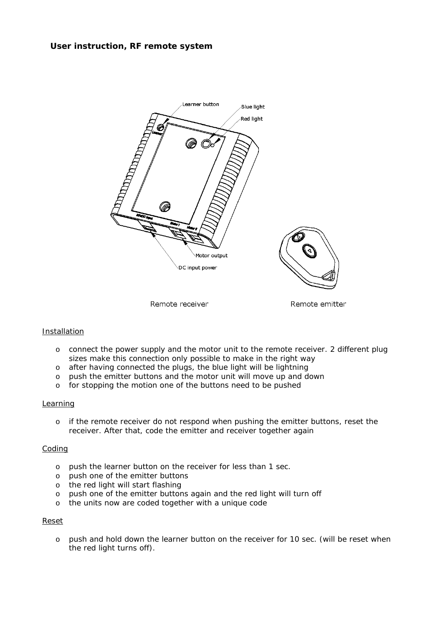# **User instruction, RF remote system**



#### Installation

- o connect the power supply and the motor unit to the remote receiver. 2 different plug sizes make this connection only possible to make in the right way
- o after having connected the plugs, the blue light will be lightning
- o push the emitter buttons and the motor unit will move up and down
- o for stopping the motion one of the buttons need to be pushed

## **Learning**

o if the remote receiver do not respond when pushing the emitter buttons, reset the receiver. After that, code the emitter and receiver together again

#### **Coding**

- o push the learner button on the receiver for less than 1 sec.
- o push one of the emitter buttons
- o the red light will start flashing
- o push one of the emitter buttons again and the red light will turn off
- o the units now are coded together with a unique code

#### Reset

o push and hold down the learner button on the receiver for 10 sec. (will be reset when the red light turns off).